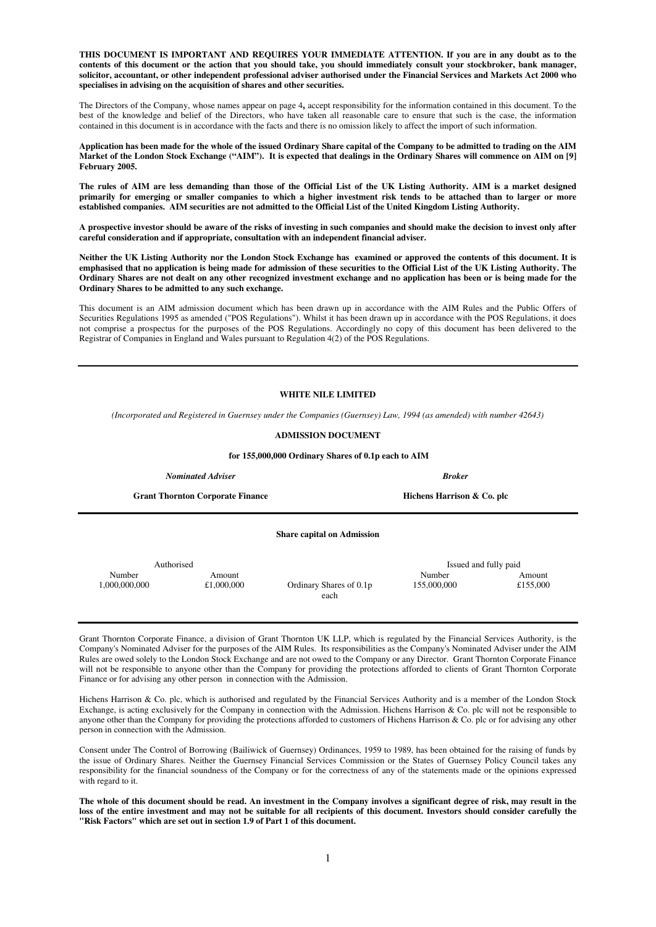**THIS DOCUMENT IS IMPORTANT AND REQUIRES YOUR IMMEDIATE ATTENTION. If you are in any doubt as to the contents of this document or the action that you should take, you should immediately consult your stockbroker, bank manager, solicitor, accountant, or other independent professional adviser authorised under the Financial Services and Markets Act 2000 who specialises in advising on the acquisition of shares and other securities.** 

The Directors of the Company, whose names appear on page 4**,** accept responsibility for the information contained in this document. To the best of the knowledge and belief of the Directors, who have taken all reasonable care to ensure that such is the case, the information contained in this document is in accordance with the facts and there is no omission likely to affect the import of such information.

**Application has been made for the whole of the issued Ordinary Share capital of the Company to be admitted to trading on the AIM Market of the London Stock Exchange ("AIM"). It is expected that dealings in the Ordinary Shares will commence on AIM on [9] February 2005.** 

**The rules of AIM are less demanding than those of the Official List of the UK Listing Authority. AIM is a market designed primarily for emerging or smaller companies to which a higher investment risk tends to be attached than to larger or more established companies. AIM securities are not admitted to the Official List of the United Kingdom Listing Authority.** 

**A prospective investor should be aware of the risks of investing in such companies and should make the decision to invest only after careful consideration and if appropriate, consultation with an independent financial adviser.** 

**Neither the UK Listing Authority nor the London Stock Exchange has examined or approved the contents of this document. It is emphasised that no application is being made for admission of these securities to the Official List of the UK Listing Authority. The Ordinary Shares are not dealt on any other recognized investment exchange and no application has been or is being made for the Ordinary Shares to be admitted to any such exchange.**

This document is an AIM admission document which has been drawn up in accordance with the AIM Rules and the Public Offers of Securities Regulations 1995 as amended ("POS Regulations"). Whilst it has been drawn up in accordance with the POS Regulations, it does not comprise a prospectus for the purposes of the POS Regulations. Accordingly no copy of this document has been delivered to the Registrar of Companies in England and Wales pursuant to Regulation 4(2) of the POS Regulations.

#### **WHITE NILE LIMITED**

*(Incorporated and Registered in Guernsey under the Companies (Guernsey) Law, 1994 (as amended) with number 42643)*

#### **ADMISSION DOCUMENT**

 **for 155,000,000 Ordinary Shares of 0.1p each to AIM** 

**Share capital on Admission** 

*Nominated Adviser Broker* 

Grant Thornton Corporate Finance **Hichens Harrison & Co. plc Hichens Harrison & Co. plc** 

Authorised Issued and fully paid Number Amount Amount Amount Amount Amount Amount Amount Amount Amount Amount Amount Amount Amount Amount Amount 1,000,000,000 £1,000,000 Ordinary Shares of 0.1p 155,000,000 £155,000

Grant Thornton Corporate Finance, a division of Grant Thornton UK LLP, which is regulated by the Financial Services Authority, is the Company's Nominated Adviser for the purposes of the AIM Rules. Its responsibilities as the Company's Nominated Adviser under the AIM Rules are owed solely to the London Stock Exchange and are not owed to the Company or any Director. Grant Thornton Corporate Finance will not be responsible to anyone other than the Company for providing the protections afforded to clients of Grant Thornton Corporate Finance or for advising any other person in connection with the Admission.

each

Hichens Harrison & Co. plc, which is authorised and regulated by the Financial Services Authority and is a member of the London Stock Exchange, is acting exclusively for the Company in connection with the Admission. Hichens Harrison & Co. plc will not be responsible to anyone other than the Company for providing the protections afforded to customers of Hichens Harrison & Co. plc or for advising any other person in connection with the Admission.

Consent under The Control of Borrowing (Bailiwick of Guernsey) Ordinances, 1959 to 1989, has been obtained for the raising of funds by the issue of Ordinary Shares. Neither the Guernsey Financial Services Commission or the States of Guernsey Policy Council takes any responsibility for the financial soundness of the Company or for the correctness of any of the statements made or the opinions expressed with regard to it.

**The whole of this document should be read. An investment in the Company involves a significant degree of risk, may result in the loss of the entire investment and may not be suitable for all recipients of this document. Investors should consider carefully the "Risk Factors" which are set out in section 1.9 of Part 1 of this document.**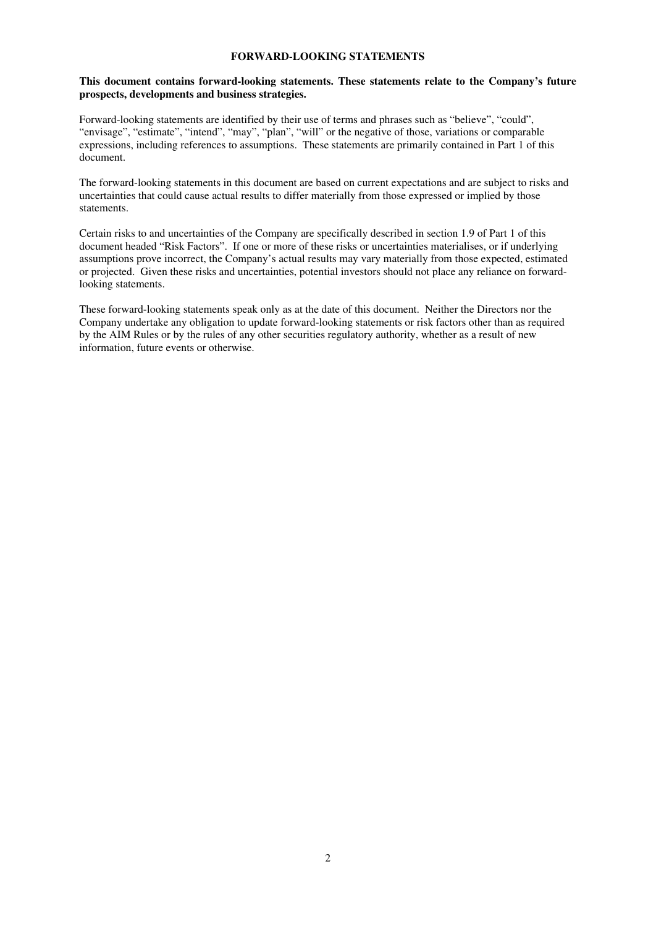## **FORWARD-LOOKING STATEMENTS**

## **This document contains forward-looking statements. These statements relate to the Company's future prospects, developments and business strategies.**

Forward-looking statements are identified by their use of terms and phrases such as "believe", "could", "envisage", "estimate", "intend", "may", "plan", "will" or the negative of those, variations or comparable expressions, including references to assumptions. These statements are primarily contained in Part 1 of this document.

The forward-looking statements in this document are based on current expectations and are subject to risks and uncertainties that could cause actual results to differ materially from those expressed or implied by those statements.

Certain risks to and uncertainties of the Company are specifically described in section 1.9 of Part 1 of this document headed "Risk Factors". If one or more of these risks or uncertainties materialises, or if underlying assumptions prove incorrect, the Company's actual results may vary materially from those expected, estimated or projected. Given these risks and uncertainties, potential investors should not place any reliance on forwardlooking statements.

These forward-looking statements speak only as at the date of this document. Neither the Directors nor the Company undertake any obligation to update forward-looking statements or risk factors other than as required by the AIM Rules or by the rules of any other securities regulatory authority, whether as a result of new information, future events or otherwise.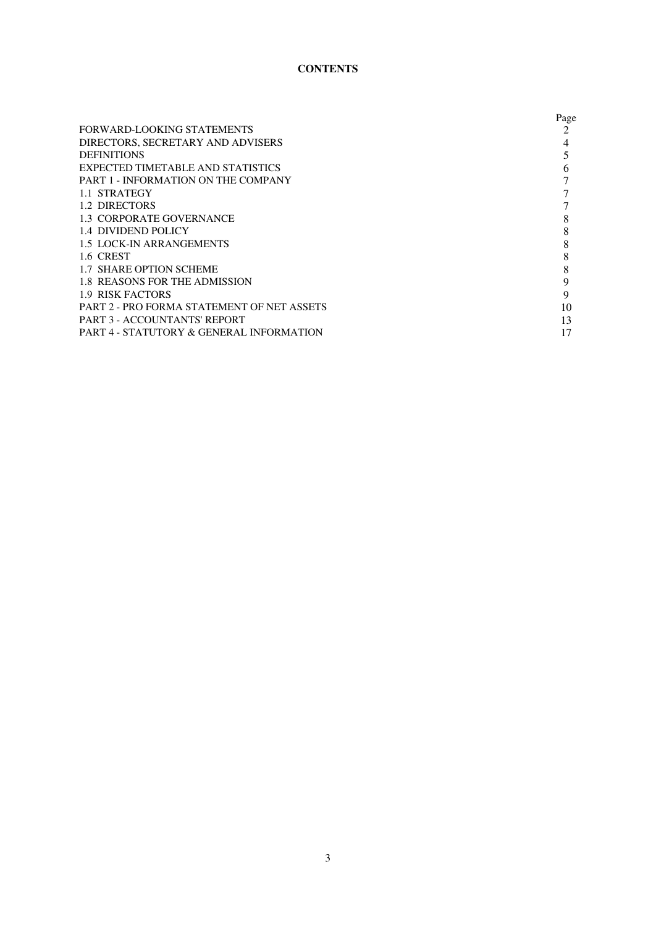# **CONTENTS**

|                                            | Page |
|--------------------------------------------|------|
| FORWARD-LOOKING STATEMENTS                 | 2    |
| DIRECTORS, SECRETARY AND ADVISERS          |      |
| <b>DEFINITIONS</b>                         |      |
| <b>EXPECTED TIMETABLE AND STATISTICS</b>   | h    |
| PART 1 - INFORMATION ON THE COMPANY        |      |
| 1.1 STRATEGY                               |      |
| 1.2 DIRECTORS                              |      |
| 1.3 CORPORATE GOVERNANCE                   | 8    |
| <b>1.4 DIVIDEND POLICY</b>                 | 8    |
| <b>1.5 LOCK-IN ARRANGEMENTS</b>            | 8    |
| 1.6 CREST                                  | 8    |
| 1.7 SHARE OPTION SCHEME                    | 8    |
| <b>1.8 REASONS FOR THE ADMISSION</b>       | 9    |
| 1.9 RISK FACTORS                           | 9    |
| PART 2 - PRO FORMA STATEMENT OF NET ASSETS | 10   |
| PART 3 - ACCOUNTANTS' REPORT               | 13   |
| PART 4 - STATUTORY & GENERAL INFORMATION   | 17   |
|                                            |      |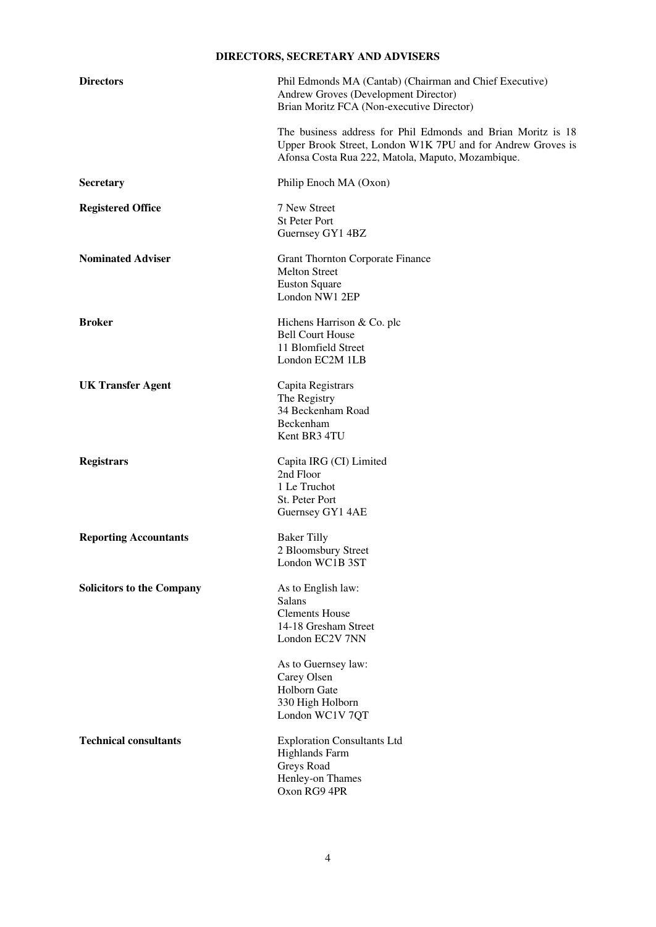# **DIRECTORS, SECRETARY AND ADVISERS**

| <b>Directors</b>                 | Phil Edmonds MA (Cantab) (Chairman and Chief Executive)<br>Andrew Groves (Development Director)<br>Brian Moritz FCA (Non-executive Director)                                     |
|----------------------------------|----------------------------------------------------------------------------------------------------------------------------------------------------------------------------------|
|                                  | The business address for Phil Edmonds and Brian Moritz is 18<br>Upper Brook Street, London W1K 7PU and for Andrew Groves is<br>Afonsa Costa Rua 222, Matola, Maputo, Mozambique. |
| <b>Secretary</b>                 | Philip Enoch MA (Oxon)                                                                                                                                                           |
| <b>Registered Office</b>         | 7 New Street<br>St Peter Port<br>Guernsey GY1 4BZ                                                                                                                                |
| <b>Nominated Adviser</b>         | <b>Grant Thornton Corporate Finance</b><br><b>Melton Street</b><br><b>Euston Square</b><br>London NW1 2EP                                                                        |
| <b>Broker</b>                    | Hichens Harrison & Co. plc<br><b>Bell Court House</b><br>11 Blomfield Street<br>London EC2M 1LB                                                                                  |
| <b>UK Transfer Agent</b>         | Capita Registrars<br>The Registry<br>34 Beckenham Road<br>Beckenham<br>Kent BR3 4TU                                                                                              |
| <b>Registrars</b>                | Capita IRG (CI) Limited<br>2nd Floor<br>1 Le Truchot<br>St. Peter Port<br>Guernsey GY1 4AE                                                                                       |
| <b>Reporting Accountants</b>     | <b>Baker Tilly</b><br>2 Bloomsbury Street<br>London WC1B 3ST                                                                                                                     |
| <b>Solicitors to the Company</b> | As to English law:<br>Salans<br><b>Clements House</b><br>14-18 Gresham Street<br>London EC2V 7NN<br>As to Guernsey law:<br>Carey Olsen                                           |
|                                  | Holborn Gate<br>330 High Holborn<br>London WC1V 7QT                                                                                                                              |
| <b>Technical consultants</b>     | <b>Exploration Consultants Ltd</b><br><b>Highlands Farm</b><br>Greys Road<br>Henley-on Thames<br>Oxon RG9 4PR                                                                    |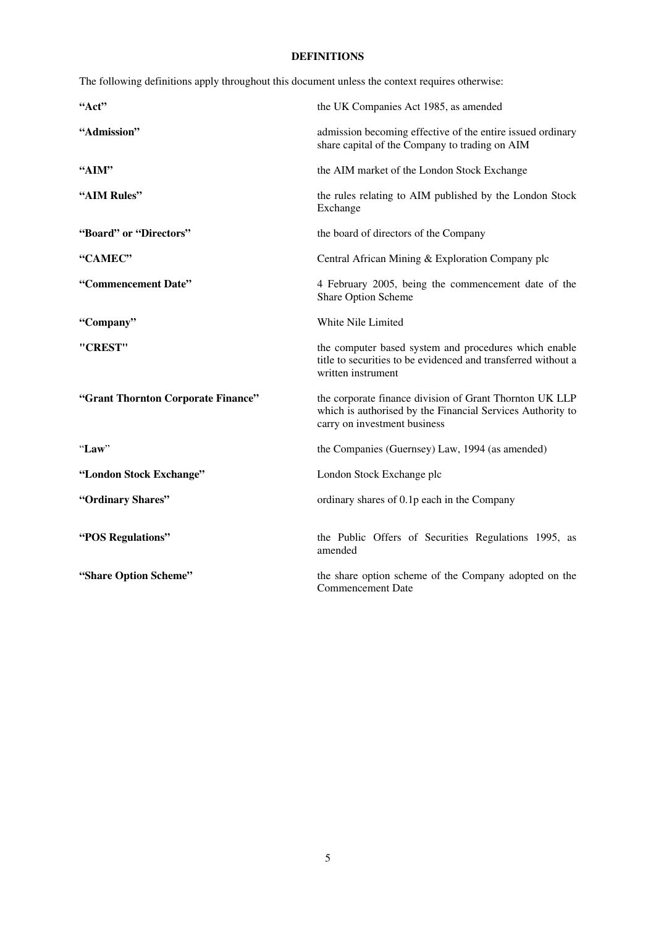# **DEFINITIONS**

The following definitions apply throughout this document unless the context requires otherwise:

| "Act"                              | the UK Companies Act 1985, as amended                                                                                                                 |
|------------------------------------|-------------------------------------------------------------------------------------------------------------------------------------------------------|
| "Admission"                        | admission becoming effective of the entire issued ordinary<br>share capital of the Company to trading on AIM                                          |
| "AIM"                              | the AIM market of the London Stock Exchange                                                                                                           |
| "AIM Rules"                        | the rules relating to AIM published by the London Stock<br>Exchange                                                                                   |
| "Board" or "Directors"             | the board of directors of the Company                                                                                                                 |
| "CAMEC"                            | Central African Mining & Exploration Company plc                                                                                                      |
| "Commencement Date"                | 4 February 2005, being the commencement date of the<br>Share Option Scheme                                                                            |
| "Company"                          | White Nile Limited                                                                                                                                    |
| "CREST"                            | the computer based system and procedures which enable<br>title to securities to be evidenced and transferred without a<br>written instrument          |
| "Grant Thornton Corporate Finance" | the corporate finance division of Grant Thornton UK LLP<br>which is authorised by the Financial Services Authority to<br>carry on investment business |
| "Law"                              | the Companies (Guernsey) Law, 1994 (as amended)                                                                                                       |
| "London Stock Exchange"            | London Stock Exchange plc                                                                                                                             |
| "Ordinary Shares"                  | ordinary shares of 0.1p each in the Company                                                                                                           |
| "POS Regulations"                  | the Public Offers of Securities Regulations 1995, as<br>amended                                                                                       |
| "Share Option Scheme"              | the share option scheme of the Company adopted on the<br><b>Commencement Date</b>                                                                     |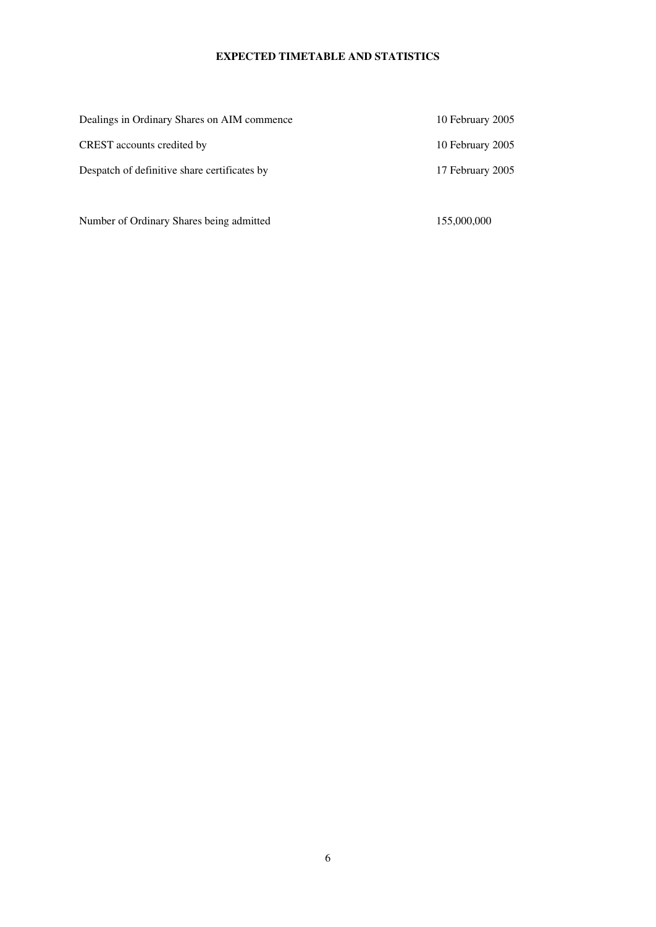# **EXPECTED TIMETABLE AND STATISTICS**

| 10 February 2005 |
|------------------|
| 10 February 2005 |
| 17 February 2005 |
|                  |

Number of Ordinary Shares being admitted 155,000,000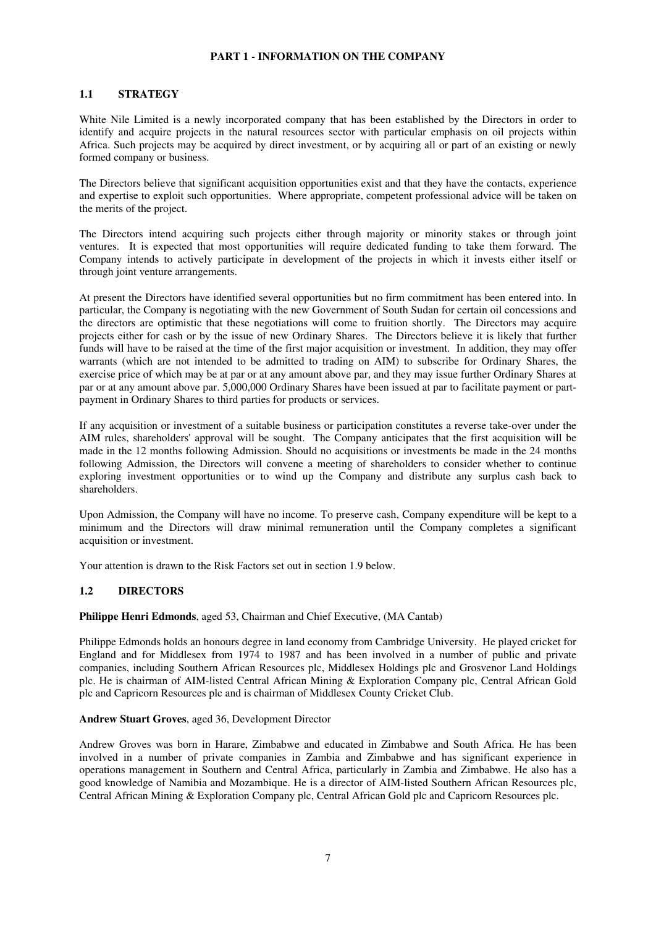## **PART 1 - INFORMATION ON THE COMPANY**

## **1.1 STRATEGY**

White Nile Limited is a newly incorporated company that has been established by the Directors in order to identify and acquire projects in the natural resources sector with particular emphasis on oil projects within Africa. Such projects may be acquired by direct investment, or by acquiring all or part of an existing or newly formed company or business.

The Directors believe that significant acquisition opportunities exist and that they have the contacts, experience and expertise to exploit such opportunities. Where appropriate, competent professional advice will be taken on the merits of the project.

The Directors intend acquiring such projects either through majority or minority stakes or through joint ventures. It is expected that most opportunities will require dedicated funding to take them forward. The Company intends to actively participate in development of the projects in which it invests either itself or through joint venture arrangements.

At present the Directors have identified several opportunities but no firm commitment has been entered into. In particular, the Company is negotiating with the new Government of South Sudan for certain oil concessions and the directors are optimistic that these negotiations will come to fruition shortly. The Directors may acquire projects either for cash or by the issue of new Ordinary Shares. The Directors believe it is likely that further funds will have to be raised at the time of the first major acquisition or investment. In addition, they may offer warrants (which are not intended to be admitted to trading on AIM) to subscribe for Ordinary Shares, the exercise price of which may be at par or at any amount above par, and they may issue further Ordinary Shares at par or at any amount above par. 5,000,000 Ordinary Shares have been issued at par to facilitate payment or partpayment in Ordinary Shares to third parties for products or services.

If any acquisition or investment of a suitable business or participation constitutes a reverse take-over under the AIM rules, shareholders' approval will be sought. The Company anticipates that the first acquisition will be made in the 12 months following Admission. Should no acquisitions or investments be made in the 24 months following Admission, the Directors will convene a meeting of shareholders to consider whether to continue exploring investment opportunities or to wind up the Company and distribute any surplus cash back to shareholders.

Upon Admission, the Company will have no income. To preserve cash, Company expenditure will be kept to a minimum and the Directors will draw minimal remuneration until the Company completes a significant acquisition or investment.

Your attention is drawn to the Risk Factors set out in section 1.9 below.

## **1.2 DIRECTORS**

## **Philippe Henri Edmonds**, aged 53, Chairman and Chief Executive, (MA Cantab)

Philippe Edmonds holds an honours degree in land economy from Cambridge University. He played cricket for England and for Middlesex from 1974 to 1987 and has been involved in a number of public and private companies, including Southern African Resources plc, Middlesex Holdings plc and Grosvenor Land Holdings plc. He is chairman of AIM-listed Central African Mining & Exploration Company plc, Central African Gold plc and Capricorn Resources plc and is chairman of Middlesex County Cricket Club.

## **Andrew Stuart Groves**, aged 36, Development Director

Andrew Groves was born in Harare, Zimbabwe and educated in Zimbabwe and South Africa. He has been involved in a number of private companies in Zambia and Zimbabwe and has significant experience in operations management in Southern and Central Africa, particularly in Zambia and Zimbabwe. He also has a good knowledge of Namibia and Mozambique. He is a director of AIM-listed Southern African Resources plc, Central African Mining & Exploration Company plc, Central African Gold plc and Capricorn Resources plc.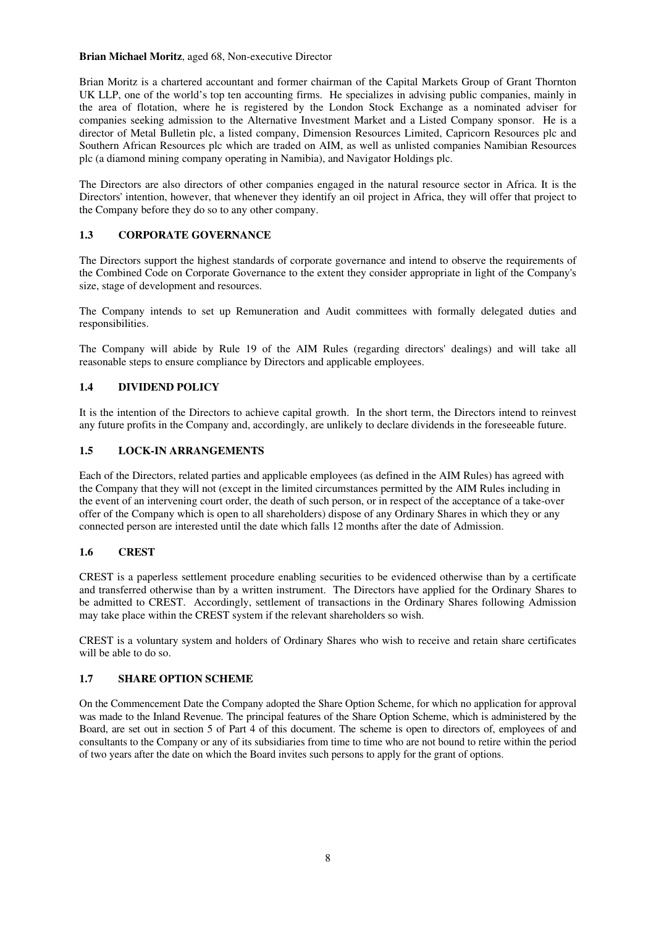### **Brian Michael Moritz**, aged 68, Non-executive Director

Brian Moritz is a chartered accountant and former chairman of the Capital Markets Group of Grant Thornton UK LLP, one of the world's top ten accounting firms. He specializes in advising public companies, mainly in the area of flotation, where he is registered by the London Stock Exchange as a nominated adviser for companies seeking admission to the Alternative Investment Market and a Listed Company sponsor. He is a director of Metal Bulletin plc, a listed company, Dimension Resources Limited, Capricorn Resources plc and Southern African Resources plc which are traded on AIM, as well as unlisted companies Namibian Resources plc (a diamond mining company operating in Namibia), and Navigator Holdings plc.

The Directors are also directors of other companies engaged in the natural resource sector in Africa. It is the Directors' intention, however, that whenever they identify an oil project in Africa, they will offer that project to the Company before they do so to any other company.

## **1.3 CORPORATE GOVERNANCE**

The Directors support the highest standards of corporate governance and intend to observe the requirements of the Combined Code on Corporate Governance to the extent they consider appropriate in light of the Company's size, stage of development and resources.

The Company intends to set up Remuneration and Audit committees with formally delegated duties and responsibilities.

The Company will abide by Rule 19 of the AIM Rules (regarding directors' dealings) and will take all reasonable steps to ensure compliance by Directors and applicable employees.

## **1.4 DIVIDEND POLICY**

It is the intention of the Directors to achieve capital growth. In the short term, the Directors intend to reinvest any future profits in the Company and, accordingly, are unlikely to declare dividends in the foreseeable future.

## **1.5 LOCK-IN ARRANGEMENTS**

Each of the Directors, related parties and applicable employees (as defined in the AIM Rules) has agreed with the Company that they will not (except in the limited circumstances permitted by the AIM Rules including in the event of an intervening court order, the death of such person, or in respect of the acceptance of a take-over offer of the Company which is open to all shareholders) dispose of any Ordinary Shares in which they or any connected person are interested until the date which falls 12 months after the date of Admission.

## **1.6 CREST**

CREST is a paperless settlement procedure enabling securities to be evidenced otherwise than by a certificate and transferred otherwise than by a written instrument. The Directors have applied for the Ordinary Shares to be admitted to CREST. Accordingly, settlement of transactions in the Ordinary Shares following Admission may take place within the CREST system if the relevant shareholders so wish.

CREST is a voluntary system and holders of Ordinary Shares who wish to receive and retain share certificates will be able to do so.

## **1.7 SHARE OPTION SCHEME**

On the Commencement Date the Company adopted the Share Option Scheme, for which no application for approval was made to the Inland Revenue. The principal features of the Share Option Scheme, which is administered by the Board, are set out in section 5 of Part 4 of this document. The scheme is open to directors of, employees of and consultants to the Company or any of its subsidiaries from time to time who are not bound to retire within the period of two years after the date on which the Board invites such persons to apply for the grant of options.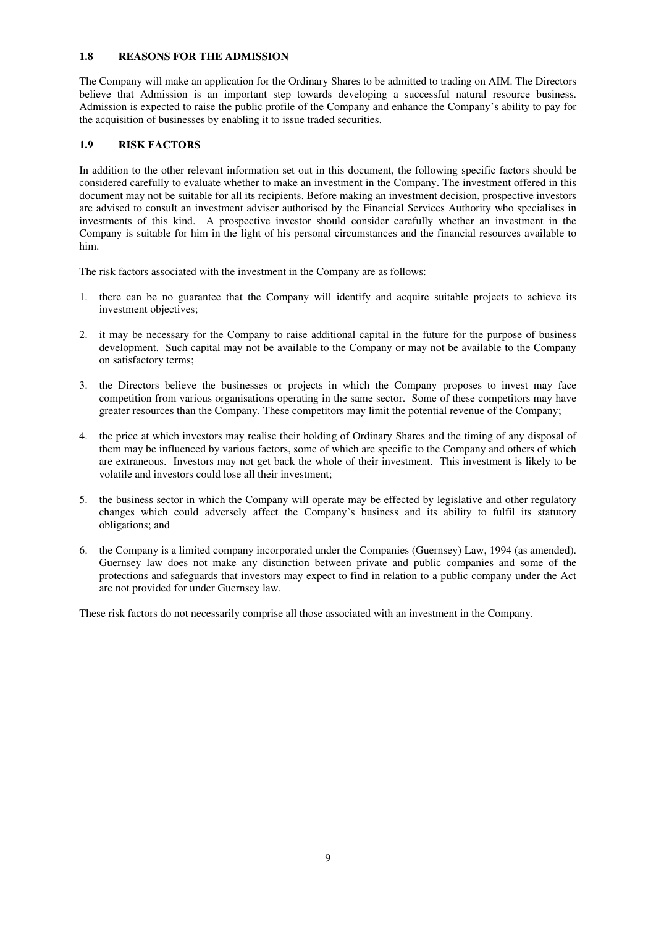## **1.8 REASONS FOR THE ADMISSION**

The Company will make an application for the Ordinary Shares to be admitted to trading on AIM. The Directors believe that Admission is an important step towards developing a successful natural resource business. Admission is expected to raise the public profile of the Company and enhance the Company's ability to pay for the acquisition of businesses by enabling it to issue traded securities.

## **1.9 RISK FACTORS**

In addition to the other relevant information set out in this document, the following specific factors should be considered carefully to evaluate whether to make an investment in the Company. The investment offered in this document may not be suitable for all its recipients. Before making an investment decision, prospective investors are advised to consult an investment adviser authorised by the Financial Services Authority who specialises in investments of this kind. A prospective investor should consider carefully whether an investment in the Company is suitable for him in the light of his personal circumstances and the financial resources available to him.

The risk factors associated with the investment in the Company are as follows:

- 1. there can be no guarantee that the Company will identify and acquire suitable projects to achieve its investment objectives;
- 2. it may be necessary for the Company to raise additional capital in the future for the purpose of business development. Such capital may not be available to the Company or may not be available to the Company on satisfactory terms;
- 3. the Directors believe the businesses or projects in which the Company proposes to invest may face competition from various organisations operating in the same sector. Some of these competitors may have greater resources than the Company. These competitors may limit the potential revenue of the Company;
- 4. the price at which investors may realise their holding of Ordinary Shares and the timing of any disposal of them may be influenced by various factors, some of which are specific to the Company and others of which are extraneous. Investors may not get back the whole of their investment. This investment is likely to be volatile and investors could lose all their investment;
- 5. the business sector in which the Company will operate may be effected by legislative and other regulatory changes which could adversely affect the Company's business and its ability to fulfil its statutory obligations; and
- 6. the Company is a limited company incorporated under the Companies (Guernsey) Law, 1994 (as amended). Guernsey law does not make any distinction between private and public companies and some of the protections and safeguards that investors may expect to find in relation to a public company under the Act are not provided for under Guernsey law.

These risk factors do not necessarily comprise all those associated with an investment in the Company.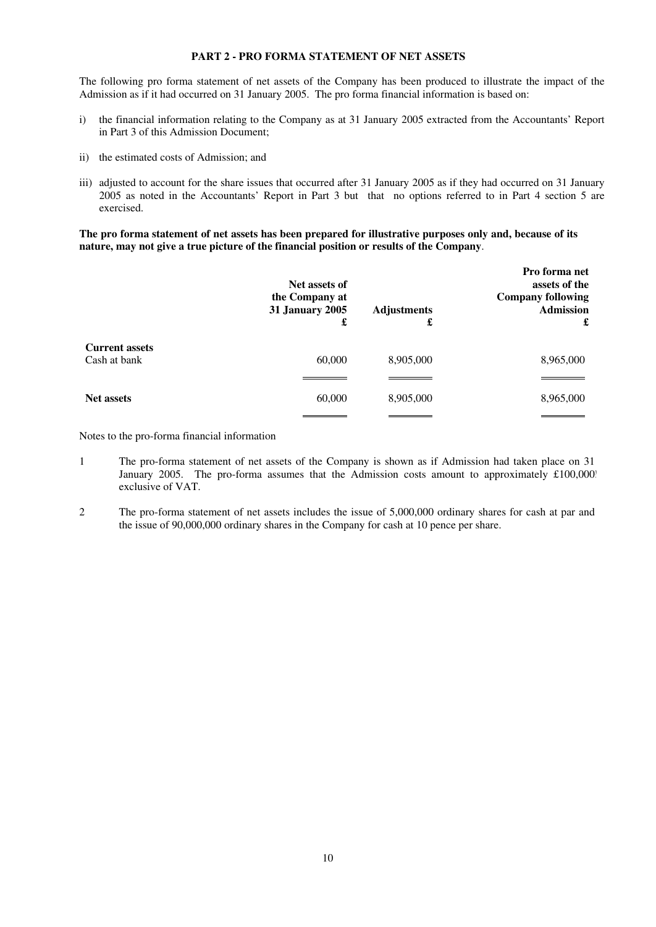# **PART 2 - PRO FORMA STATEMENT OF NET ASSETS**

The following pro forma statement of net assets of the Company has been produced to illustrate the impact of the Admission as if it had occurred on 31 January 2005. The pro forma financial information is based on:

- i) the financial information relating to the Company as at 31 January 2005 extracted from the Accountants' Report in Part 3 of this Admission Document;
- ii) the estimated costs of Admission; and
- iii) adjusted to account for the share issues that occurred after 31 January 2005 as if they had occurred on 31 January 2005 as noted in the Accountants' Report in Part 3 but that no options referred to in Part 4 section 5 are exercised.

**The pro forma statement of net assets has been prepared for illustrative purposes only and, because of its nature, may not give a true picture of the financial position or results of the Company**.

|                       | Net assets of<br>the Company at<br>31 January 2005<br>£ | <b>Adjustments</b><br>£ | Pro forma net<br>assets of the<br><b>Company following</b><br><b>Admission</b><br>£ |
|-----------------------|---------------------------------------------------------|-------------------------|-------------------------------------------------------------------------------------|
| <b>Current assets</b> |                                                         |                         |                                                                                     |
| Cash at bank          | 60,000                                                  | 8,905,000               | 8,965,000                                                                           |
|                       |                                                         |                         |                                                                                     |
| <b>Net assets</b>     | 60,000                                                  | 8,905,000               | 8,965,000                                                                           |
|                       |                                                         |                         |                                                                                     |

Notes to the pro-forma financial information

- 1 The pro-forma statement of net assets of the Company is shown as if Admission had taken place on 31 January 2005. The pro-forma assumes that the Admission costs amount to approximately £100,000? exclusive of VAT.
- 2 The pro-forma statement of net assets includes the issue of 5,000,000 ordinary shares for cash at par and the issue of 90,000,000 ordinary shares in the Company for cash at 10 pence per share.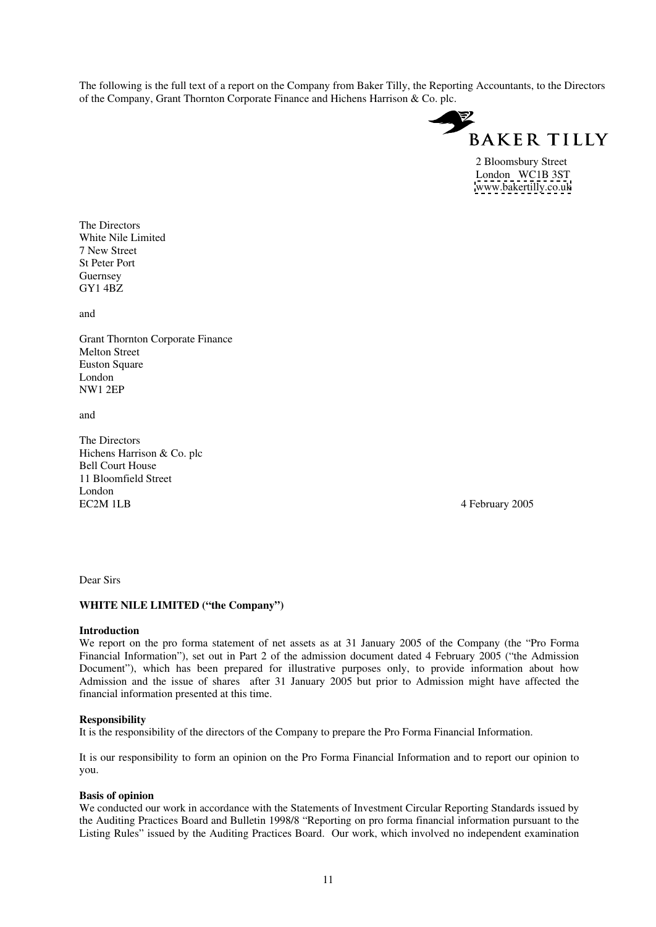The following is the full text of a report on the Company from Baker Tilly, the Reporting Accountants, to the Directors of the Company, Grant Thornton Corporate Finance and Hichens Harrison & Co. plc.



2 Bloomsbury Street London WC1B 3ST [www.bakertilly.co.uk](http://www.bakertilly.co.uk)

The Directors White Nile Limited 7 New Street St Peter Port Guernsey GY1 4BZ

and

Grant Thornton Corporate Finance Melton Street **Euston Square** London NW1 2EP

and

The Directors Hichens Harrison & Co. plc Bell Court House 11 Bloomfield Street London EC2M 1LB 4 February 2005

Dear Sirs

#### **WHITE NILE LIMITED ("the Company")**

#### **Introduction**

We report on the pro forma statement of net assets as at 31 January 2005 of the Company (the "Pro Forma Financial Information"), set out in Part 2 of the admission document dated 4 February 2005 ("the Admission Document"), which has been prepared for illustrative purposes only, to provide information about how Admission and the issue of shares after 31 January 2005 but prior to Admission might have affected the financial information presented at this time.

#### **Responsibility**

It is the responsibility of the directors of the Company to prepare the Pro Forma Financial Information.

It is our responsibility to form an opinion on the Pro Forma Financial Information and to report our opinion to you.

## **Basis of opinion**

We conducted our work in accordance with the Statements of Investment Circular Reporting Standards issued by the Auditing Practices Board and Bulletin 1998/8 "Reporting on pro forma financial information pursuant to the Listing Rules" issued by the Auditing Practices Board. Our work, which involved no independent examination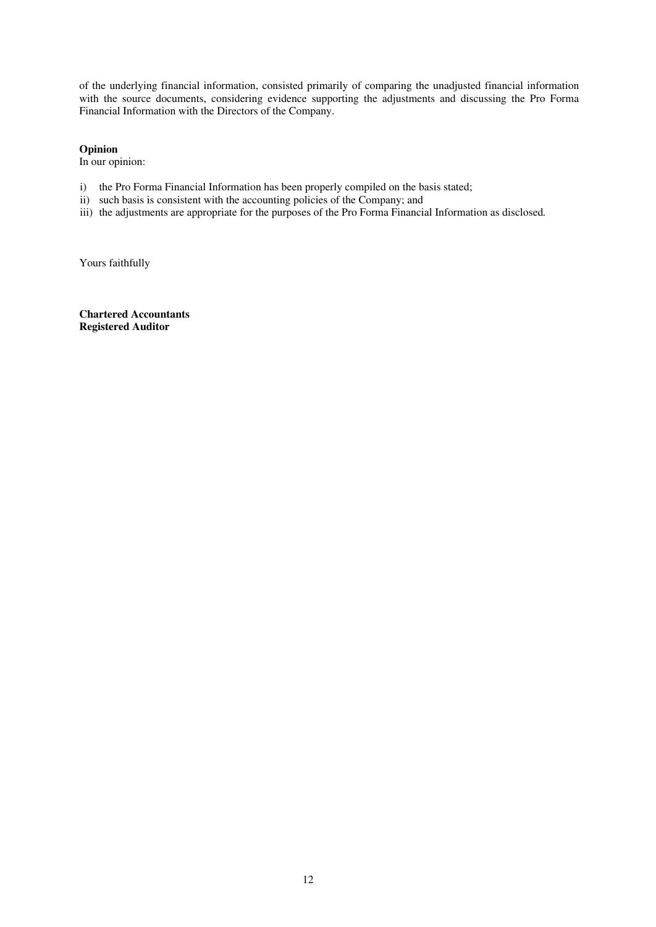of the underlying financial information, consisted primarily of comparing the unadjusted financial information with the source documents, considering evidence supporting the adjustments and discussing the Pro Forma Financial Information with the Directors of the Company.

## **Opinion**

In our opinion:

- i) the Pro Forma Financial Information has been properly compiled on the basis stated;
- ii) such basis is consistent with the accounting policies of the Company; and
- iii) the adjustments are appropriate for the purposes of the Pro Forma Financial Information as disclosed*.*

Yours faithfully

**Chartered Accountants Registered Auditor**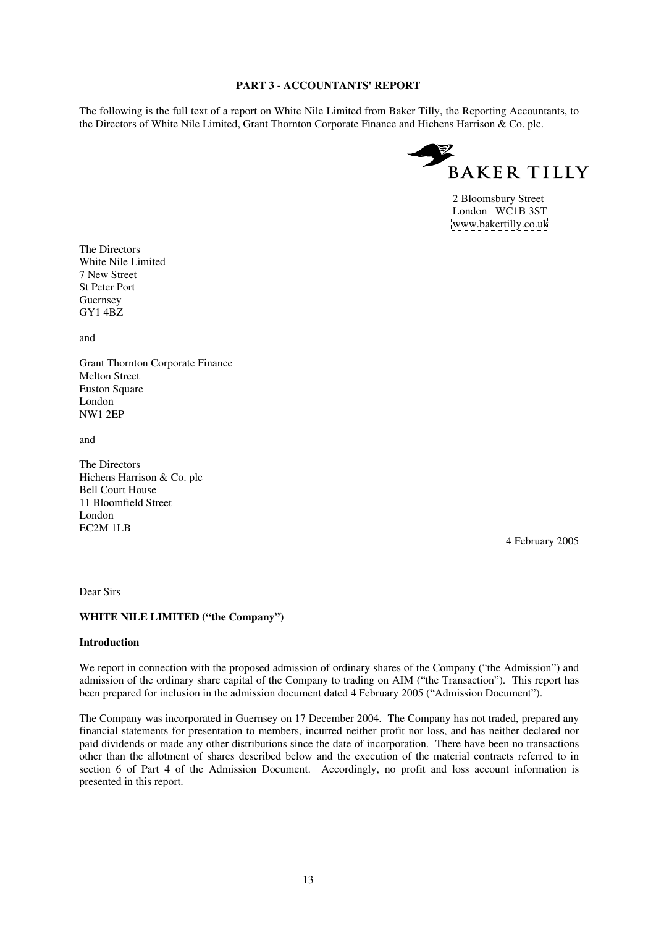## **PART 3 - ACCOUNTANTS' REPORT**

The following is the full text of a report on White Nile Limited from Baker Tilly, the Reporting Accountants, to the Directors of White Nile Limited, Grant Thornton Corporate Finance and Hichens Harrison & Co. plc.



 2 Bloomsbury Street London WC1B 3ST [www.bakertilly.co.uk](http://www.bakertilly.co.uk)

The Directors White Nile Limited 7 New Street St Peter Port Guernsey GY1 4BZ

and

Grant Thornton Corporate Finance Melton Street Euston Square London NW1 2EP

and

The Directors Hichens Harrison & Co. plc Bell Court House 11 Bloomfield Street London EC2M 1LB

4 February 2005

Dear Sirs

## **WHITE NILE LIMITED ("the Company")**

#### **Introduction**

We report in connection with the proposed admission of ordinary shares of the Company ("the Admission") and admission of the ordinary share capital of the Company to trading on AIM ("the Transaction"). This report has been prepared for inclusion in the admission document dated 4 February 2005 ("Admission Document").

The Company was incorporated in Guernsey on 17 December 2004. The Company has not traded, prepared any financial statements for presentation to members, incurred neither profit nor loss, and has neither declared nor paid dividends or made any other distributions since the date of incorporation. There have been no transactions other than the allotment of shares described below and the execution of the material contracts referred to in section 6 of Part 4 of the Admission Document. Accordingly, no profit and loss account information is presented in this report.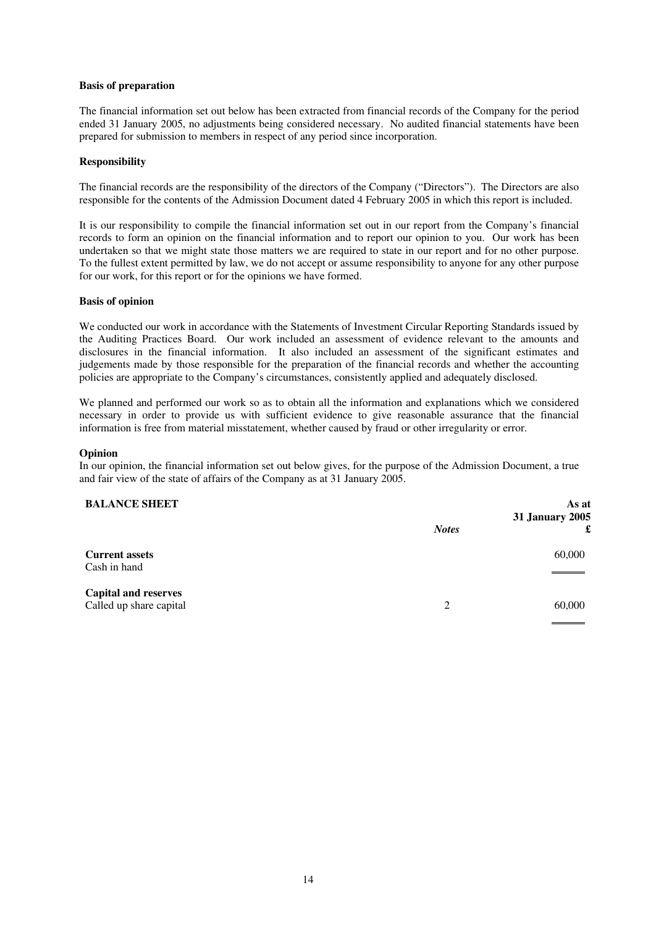#### **Basis of preparation**

The financial information set out below has been extracted from financial records of the Company for the period ended 31 January 2005, no adjustments being considered necessary. No audited financial statements have been prepared for submission to members in respect of any period since incorporation.

## **Responsibility**

The financial records are the responsibility of the directors of the Company ("Directors"). The Directors are also responsible for the contents of the Admission Document dated 4 February 2005 in which this report is included.

It is our responsibility to compile the financial information set out in our report from the Company's financial records to form an opinion on the financial information and to report our opinion to you. Our work has been undertaken so that we might state those matters we are required to state in our report and for no other purpose. To the fullest extent permitted by law, we do not accept or assume responsibility to anyone for any other purpose for our work, for this report or for the opinions we have formed.

#### **Basis of opinion**

We conducted our work in accordance with the Statements of Investment Circular Reporting Standards issued by the Auditing Practices Board. Our work included an assessment of evidence relevant to the amounts and disclosures in the financial information. It also included an assessment of the significant estimates and judgements made by those responsible for the preparation of the financial records and whether the accounting policies are appropriate to the Company's circumstances, consistently applied and adequately disclosed.

We planned and performed our work so as to obtain all the information and explanations which we considered necessary in order to provide us with sufficient evidence to give reasonable assurance that the financial information is free from material misstatement, whether caused by fraud or other irregularity or error.

## **Opinion**

In our opinion, the financial information set out below gives, for the purpose of the Admission Document, a true and fair view of the state of affairs of the Company as at 31 January 2005.

## **BALANCE SHEET**

| <b>BALANCE SHEET</b>                                   |              | As at<br><b>31 January 2005</b> |
|--------------------------------------------------------|--------------|---------------------------------|
|                                                        | <b>Notes</b> | £                               |
| <b>Current assets</b><br>Cash in hand                  |              | 60,000                          |
| <b>Capital and reserves</b><br>Called up share capital | 2            | 60,000                          |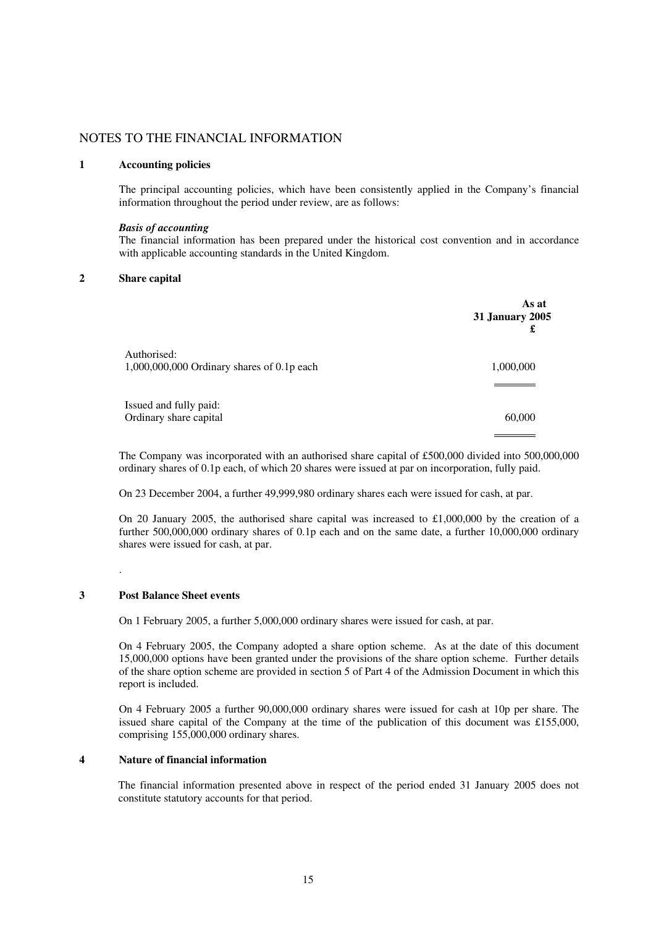# NOTES TO THE FINANCIAL INFORMATION

#### **1 Accounting policies**

The principal accounting policies, which have been consistently applied in the Company's financial information throughout the period under review, are as follows:

#### *Basis of accounting*

The financial information has been prepared under the historical cost convention and in accordance with applicable accounting standards in the United Kingdom.

## **2 Share capital**

|                                            | As at<br><b>31 January 2005</b><br>£ |
|--------------------------------------------|--------------------------------------|
| Authorised:                                |                                      |
| 1,000,000,000 Ordinary shares of 0.1p each | 1,000,000                            |
|                                            |                                      |
| Issued and fully paid:                     |                                      |
| Ordinary share capital                     | 60,000                               |
|                                            |                                      |

The Company was incorporated with an authorised share capital of £500,000 divided into 500,000,000 ordinary shares of 0.1p each, of which 20 shares were issued at par on incorporation, fully paid.

On 23 December 2004, a further 49,999,980 ordinary shares each were issued for cash, at par.

On 20 January 2005, the authorised share capital was increased to  $\pounds1,000,000$  by the creation of a further 500,000,000 ordinary shares of 0.1p each and on the same date, a further 10,000,000 ordinary shares were issued for cash, at par.

#### **3 Post Balance Sheet events**

.

On 1 February 2005, a further 5,000,000 ordinary shares were issued for cash, at par.

On 4 February 2005, the Company adopted a share option scheme. As at the date of this document 15,000,000 options have been granted under the provisions of the share option scheme. Further details of the share option scheme are provided in section 5 of Part 4 of the Admission Document in which this report is included.

On 4 February 2005 a further 90,000,000 ordinary shares were issued for cash at 10p per share. The issued share capital of the Company at the time of the publication of this document was £155,000, comprising 155,000,000 ordinary shares.

## **4 Nature of financial information**

The financial information presented above in respect of the period ended 31 January 2005 does not constitute statutory accounts for that period.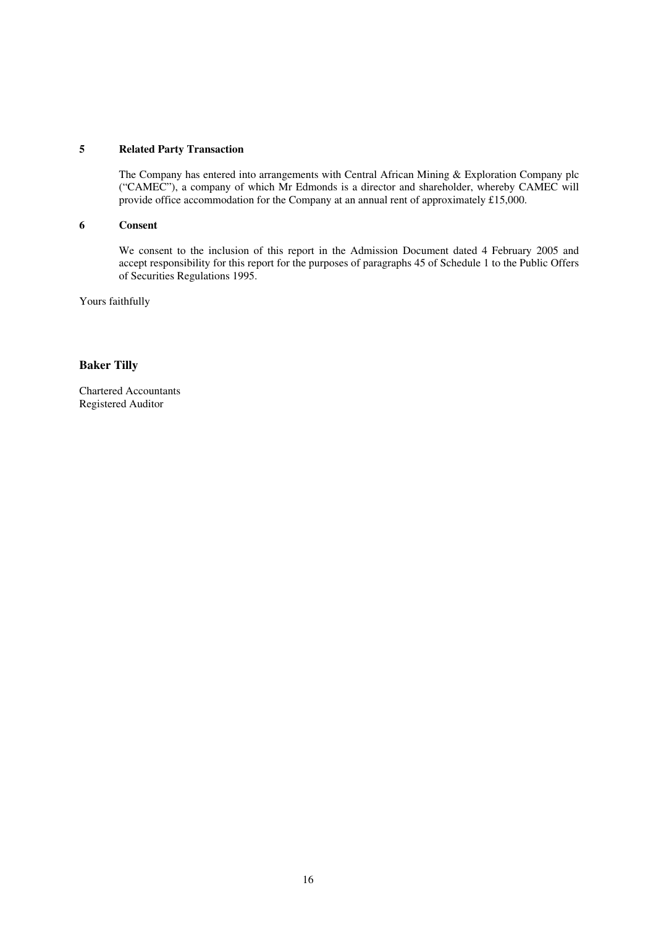## **5 Related Party Transaction**

The Company has entered into arrangements with Central African Mining & Exploration Company plc ("CAMEC"), a company of which Mr Edmonds is a director and shareholder, whereby CAMEC will provide office accommodation for the Company at an annual rent of approximately £15,000.

#### **6 Consent**

We consent to the inclusion of this report in the Admission Document dated 4 February 2005 and accept responsibility for this report for the purposes of paragraphs 45 of Schedule 1 to the Public Offers of Securities Regulations 1995.

Yours faithfully

# **Baker Tilly**

Chartered Accountants Registered Auditor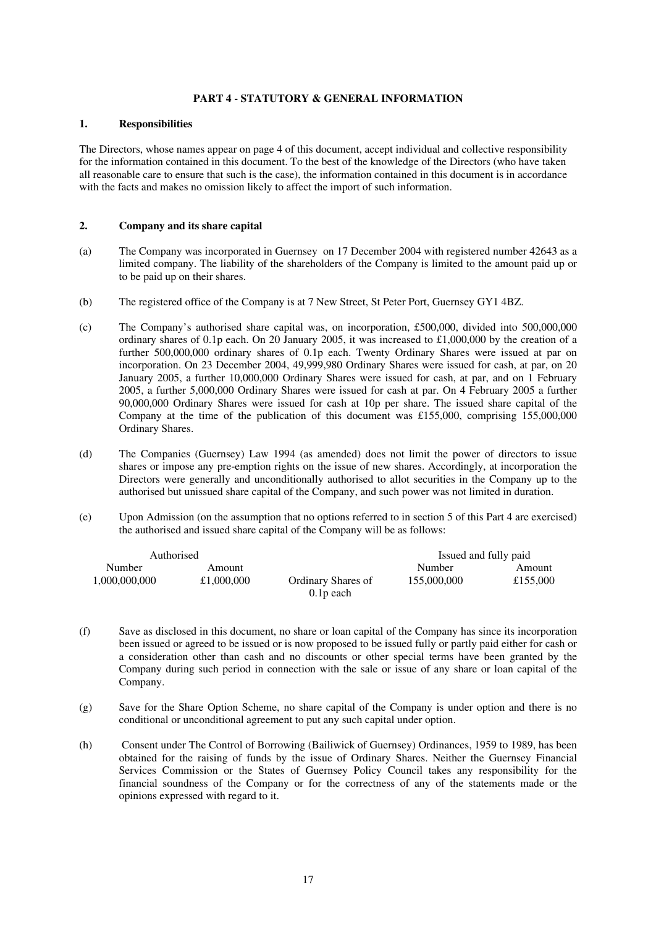## **PART 4 - STATUTORY & GENERAL INFORMATION**

## **1. Responsibilities**

The Directors, whose names appear on page 4 of this document, accept individual and collective responsibility for the information contained in this document. To the best of the knowledge of the Directors (who have taken all reasonable care to ensure that such is the case), the information contained in this document is in accordance with the facts and makes no omission likely to affect the import of such information.

## **2. Company and its share capital**

- (a) The Company was incorporated in Guernsey on 17 December 2004 with registered number 42643 as a limited company. The liability of the shareholders of the Company is limited to the amount paid up or to be paid up on their shares.
- (b) The registered office of the Company is at 7 New Street, St Peter Port, Guernsey GY1 4BZ.
- (c) The Company's authorised share capital was, on incorporation, £500,000, divided into 500,000,000 ordinary shares of 0.1p each. On 20 January 2005, it was increased to £1,000,000 by the creation of a further 500,000,000 ordinary shares of 0.1p each. Twenty Ordinary Shares were issued at par on incorporation. On 23 December 2004, 49,999,980 Ordinary Shares were issued for cash, at par, on 20 January 2005, a further 10,000,000 Ordinary Shares were issued for cash, at par, and on 1 February 2005, a further 5,000,000 Ordinary Shares were issued for cash at par. On 4 February 2005 a further 90,000,000 Ordinary Shares were issued for cash at 10p per share. The issued share capital of the Company at the time of the publication of this document was £155,000, comprising 155,000,000 Ordinary Shares.
- (d) The Companies (Guernsey) Law 1994 (as amended) does not limit the power of directors to issue shares or impose any pre-emption rights on the issue of new shares. Accordingly, at incorporation the Directors were generally and unconditionally authorised to allot securities in the Company up to the authorised but unissued share capital of the Company, and such power was not limited in duration.
- (e) Upon Admission (on the assumption that no options referred to in section 5 of this Part 4 are exercised) the authorised and issued share capital of the Company will be as follows:

| Authorised    |            |                           | Issued and fully paid |          |
|---------------|------------|---------------------------|-----------------------|----------|
| Number        | Amount     |                           | Number                | Amount   |
| 1,000,000,000 | £1,000,000 | <b>Ordinary Shares of</b> | 155,000,000           | £155,000 |
|               |            | $0.1p$ each               |                       |          |

- (f) Save as disclosed in this document, no share or loan capital of the Company has since its incorporation been issued or agreed to be issued or is now proposed to be issued fully or partly paid either for cash or a consideration other than cash and no discounts or other special terms have been granted by the Company during such period in connection with the sale or issue of any share or loan capital of the Company.
- (g) Save for the Share Option Scheme, no share capital of the Company is under option and there is no conditional or unconditional agreement to put any such capital under option.
- (h) Consent under The Control of Borrowing (Bailiwick of Guernsey) Ordinances, 1959 to 1989, has been obtained for the raising of funds by the issue of Ordinary Shares. Neither the Guernsey Financial Services Commission or the States of Guernsey Policy Council takes any responsibility for the financial soundness of the Company or for the correctness of any of the statements made or the opinions expressed with regard to it.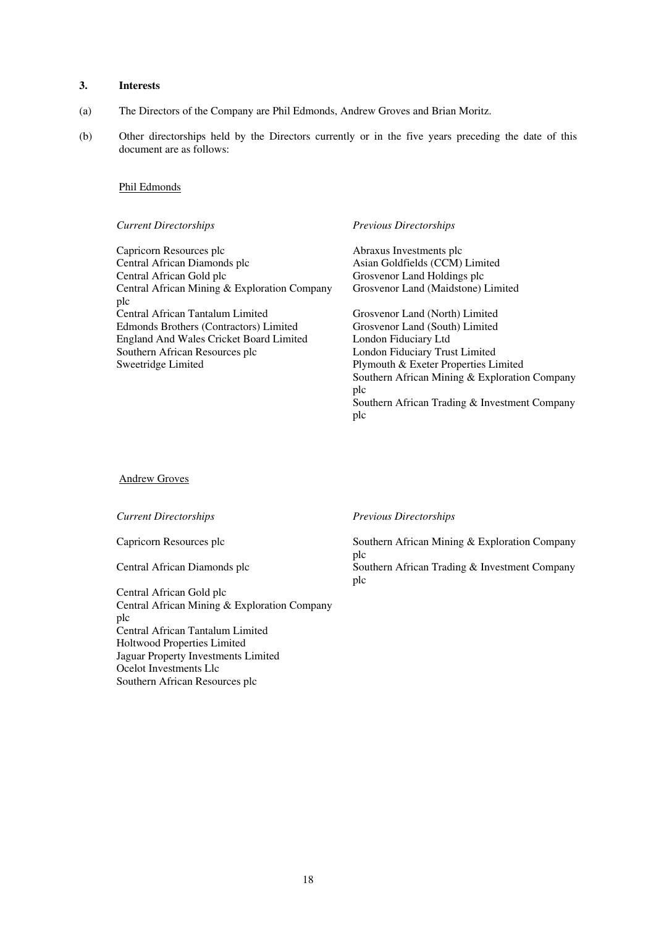## **3. Interests**

- (a) The Directors of the Company are Phil Edmonds, Andrew Groves and Brian Moritz.
- (b) Other directorships held by the Directors currently or in the five years preceding the date of this document are as follows:

#### Phil Edmonds

Capricorn Resources plc<br>
Central African Diamonds plc<br>
Asian Goldfields (CCM) Central African Diamonds plc Asian Goldfields (CCM) Limited<br>Central African Gold plc Grosvenor Land Holdings plc Central African Mining & Exploration Company plc Central African Tantalum Limited Grosvenor Land (North) Limited Edmonds Brothers (Contractors) Limited England And Wales Cricket Board Limited<br>
Southern African Resources plc<br>
London Fiduciary Trus Southern African Resources plc<br>
Sweetridge Limited<br>
Plymouth & Exeter Properties Limited<br>
Plymouth & Exeter Properties Limited

#### *Current Directorships Previous Directorships*

Grosvenor Land Holdings plc Grosvenor Land (Maidstone) Limited

Plymouth & Exeter Properties Limited Southern African Mining & Exploration Company plc Southern African Trading & Investment Company plc

Andrew Groves

Central African Gold plc Central African Mining & Exploration Company plc Central African Tantalum Limited Holtwood Properties Limited Jaguar Property Investments Limited Ocelot Investments Llc Southern African Resources plc

*Current Directorships Previous Directorships*

Capricorn Resources plc Southern African Mining & Exploration Company plc

Central African Diamonds plc Southern African Trading & Investment Company plc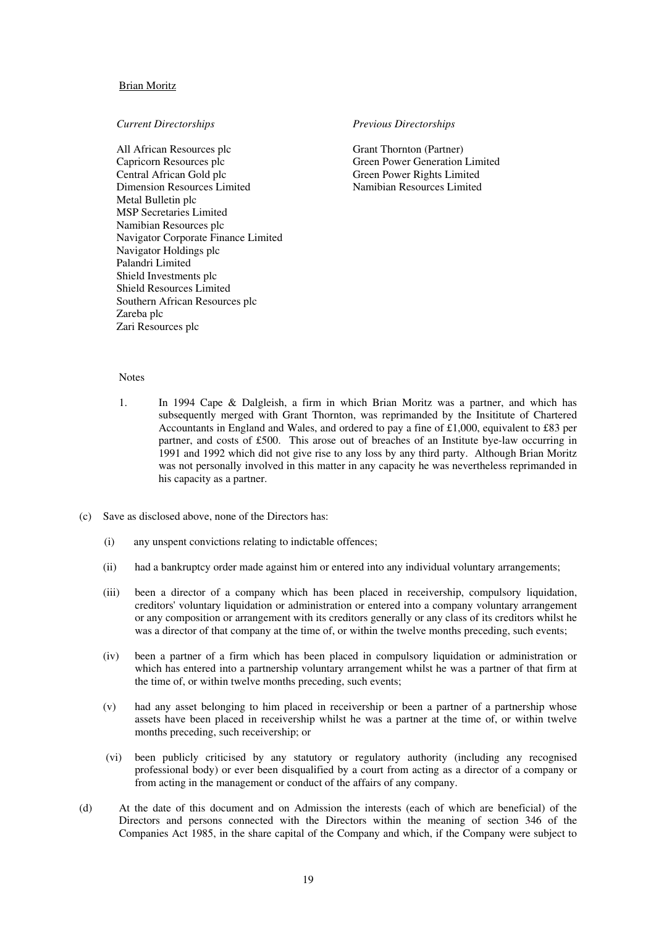#### Brian Moritz

All African Resources plc Grant Thornton (Partner)<br>
Capricorn Resources plc Green Power Generation Capricorn Resources plc<br>
Central African Gold plc<br>
Green Power Rights Limited<br>
Green Power Rights Limited Dimension Resources Limited Metal Bulletin plc MSP Secretaries Limited Namibian Resources plc Navigator Corporate Finance Limited Navigator Holdings plc Palandri Limited Shield Investments plc Shield Resources Limited Southern African Resources plc Zareba plc Zari Resources plc

#### *Current Directorships Previous Directorships*

Green Power Rights Limited<br>Namibian Resources Limited

#### **Notes**

- 1. In 1994 Cape & Dalgleish, a firm in which Brian Moritz was a partner, and which has subsequently merged with Grant Thornton, was reprimanded by the Insititute of Chartered Accountants in England and Wales, and ordered to pay a fine of £1,000, equivalent to £83 per partner, and costs of £500. This arose out of breaches of an Institute bye-law occurring in 1991 and 1992 which did not give rise to any loss by any third party. Although Brian Moritz was not personally involved in this matter in any capacity he was nevertheless reprimanded in his capacity as a partner.
- (c) Save as disclosed above, none of the Directors has:
	- (i) any unspent convictions relating to indictable offences;
	- (ii) had a bankruptcy order made against him or entered into any individual voluntary arrangements;
	- (iii) been a director of a company which has been placed in receivership, compulsory liquidation, creditors' voluntary liquidation or administration or entered into a company voluntary arrangement or any composition or arrangement with its creditors generally or any class of its creditors whilst he was a director of that company at the time of, or within the twelve months preceding, such events;
	- (iv) been a partner of a firm which has been placed in compulsory liquidation or administration or which has entered into a partnership voluntary arrangement whilst he was a partner of that firm at the time of, or within twelve months preceding, such events;
	- (v) had any asset belonging to him placed in receivership or been a partner of a partnership whose assets have been placed in receivership whilst he was a partner at the time of, or within twelve months preceding, such receivership; or
	- (vi) been publicly criticised by any statutory or regulatory authority (including any recognised professional body) or ever been disqualified by a court from acting as a director of a company or from acting in the management or conduct of the affairs of any company.
- (d) At the date of this document and on Admission the interests (each of which are beneficial) of the Directors and persons connected with the Directors within the meaning of section 346 of the Companies Act 1985, in the share capital of the Company and which, if the Company were subject to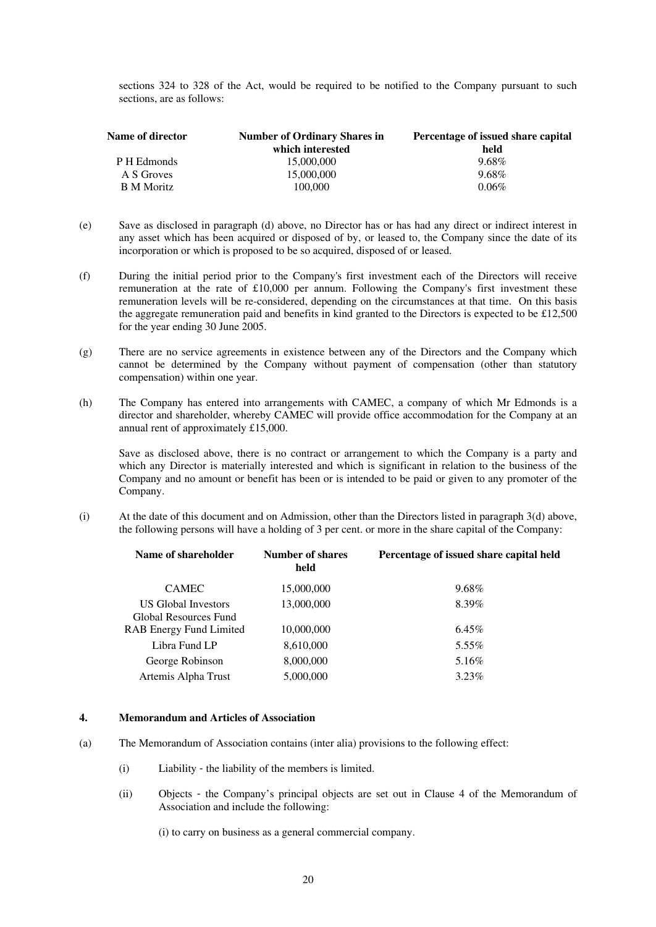sections 324 to 328 of the Act, would be required to be notified to the Company pursuant to such sections, are as follows:

| Name of director  | <b>Number of Ordinary Shares in</b> | Percentage of issued share capital |  |
|-------------------|-------------------------------------|------------------------------------|--|
|                   | which interested                    | held                               |  |
| P H Edmonds       | 15,000,000                          | 9.68%                              |  |
| A S Groves        | 15,000,000                          | 9.68%                              |  |
| <b>B</b> M Moritz | 100,000                             | $0.06\%$                           |  |

- (e) Save as disclosed in paragraph (d) above, no Director has or has had any direct or indirect interest in any asset which has been acquired or disposed of by, or leased to, the Company since the date of its incorporation or which is proposed to be so acquired, disposed of or leased.
- (f) During the initial period prior to the Company's first investment each of the Directors will receive remuneration at the rate of £10,000 per annum. Following the Company's first investment these remuneration levels will be re-considered, depending on the circumstances at that time. On this basis the aggregate remuneration paid and benefits in kind granted to the Directors is expected to be £12,500 for the year ending 30 June 2005.
- (g) There are no service agreements in existence between any of the Directors and the Company which cannot be determined by the Company without payment of compensation (other than statutory compensation) within one year.
- (h) The Company has entered into arrangements with CAMEC, a company of which Mr Edmonds is a director and shareholder, whereby CAMEC will provide office accommodation for the Company at an annual rent of approximately £15,000.

Save as disclosed above, there is no contract or arrangement to which the Company is a party and which any Director is materially interested and which is significant in relation to the business of the Company and no amount or benefit has been or is intended to be paid or given to any promoter of the Company.

(i) At the date of this document and on Admission, other than the Directors listed in paragraph 3(d) above, the following persons will have a holding of 3 per cent. or more in the share capital of the Company:

| Name of shareholder                                 | <b>Number of shares</b><br>held | Percentage of issued share capital held |
|-----------------------------------------------------|---------------------------------|-----------------------------------------|
| <b>CAMEC</b>                                        | 15,000,000                      | $9.68\%$                                |
| <b>US Global Investors</b><br>Global Resources Fund | 13,000,000                      | 8.39%                                   |
| <b>RAB Energy Fund Limited</b>                      | 10,000,000                      | $6.45\%$                                |
| Libra Fund LP                                       | 8,610,000                       | $5.55\%$                                |
| George Robinson                                     | 8,000,000                       | 5.16%                                   |
| Artemis Alpha Trust                                 | 5,000,000                       | $3.23\%$                                |

#### **4. Memorandum and Articles of Association**

- (a) The Memorandum of Association contains (inter alia) provisions to the following effect:
	- (i) Liability the liability of the members is limited.
	- (ii) Objects the Company's principal objects are set out in Clause 4 of the Memorandum of Association and include the following:

(i) to carry on business as a general commercial company.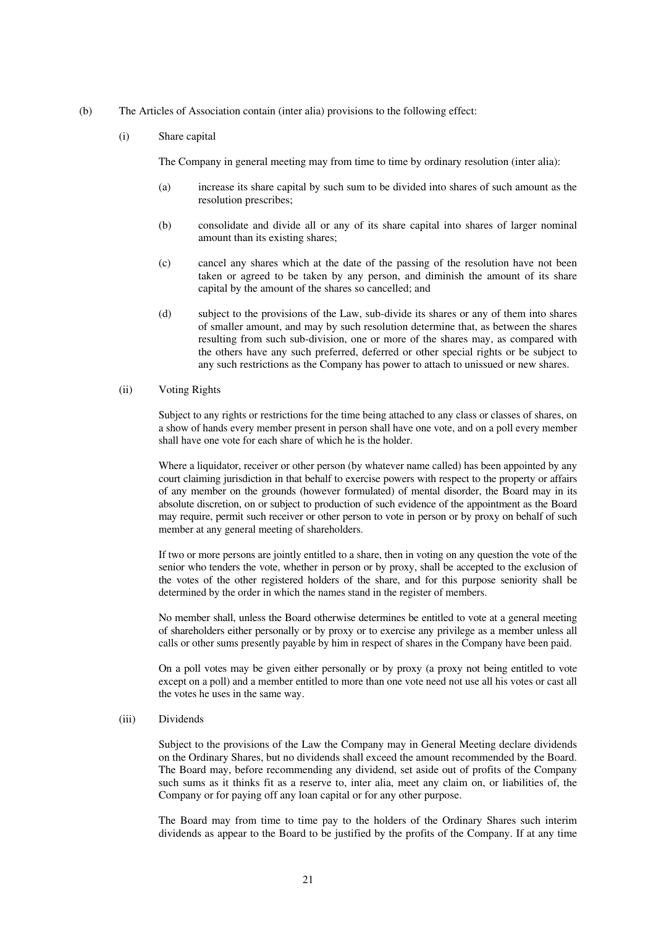- (b) The Articles of Association contain (inter alia) provisions to the following effect:
	- (i) Share capital

The Company in general meeting may from time to time by ordinary resolution (inter alia):

- (a) increase its share capital by such sum to be divided into shares of such amount as the resolution prescribes;
- (b) consolidate and divide all or any of its share capital into shares of larger nominal amount than its existing shares;
- (c) cancel any shares which at the date of the passing of the resolution have not been taken or agreed to be taken by any person, and diminish the amount of its share capital by the amount of the shares so cancelled; and
- (d) subject to the provisions of the Law, sub-divide its shares or any of them into shares of smaller amount, and may by such resolution determine that, as between the shares resulting from such sub-division, one or more of the shares may, as compared with the others have any such preferred, deferred or other special rights or be subject to any such restrictions as the Company has power to attach to unissued or new shares.
- (ii) Voting Rights

Subject to any rights or restrictions for the time being attached to any class or classes of shares, on a show of hands every member present in person shall have one vote, and on a poll every member shall have one vote for each share of which he is the holder.

Where a liquidator, receiver or other person (by whatever name called) has been appointed by any court claiming jurisdiction in that behalf to exercise powers with respect to the property or affairs of any member on the grounds (however formulated) of mental disorder, the Board may in its absolute discretion, on or subject to production of such evidence of the appointment as the Board may require, permit such receiver or other person to vote in person or by proxy on behalf of such member at any general meeting of shareholders.

If two or more persons are jointly entitled to a share, then in voting on any question the vote of the senior who tenders the vote, whether in person or by proxy, shall be accepted to the exclusion of the votes of the other registered holders of the share, and for this purpose seniority shall be determined by the order in which the names stand in the register of members.

No member shall, unless the Board otherwise determines be entitled to vote at a general meeting of shareholders either personally or by proxy or to exercise any privilege as a member unless all calls or other sums presently payable by him in respect of shares in the Company have been paid.

On a poll votes may be given either personally or by proxy (a proxy not being entitled to vote except on a poll) and a member entitled to more than one vote need not use all his votes or cast all the votes he uses in the same way.

(iii) Dividends

Subject to the provisions of the Law the Company may in General Meeting declare dividends on the Ordinary Shares, but no dividends shall exceed the amount recommended by the Board. The Board may, before recommending any dividend, set aside out of profits of the Company such sums as it thinks fit as a reserve to, inter alia, meet any claim on, or liabilities of, the Company or for paying off any loan capital or for any other purpose.

The Board may from time to time pay to the holders of the Ordinary Shares such interim dividends as appear to the Board to be justified by the profits of the Company. If at any time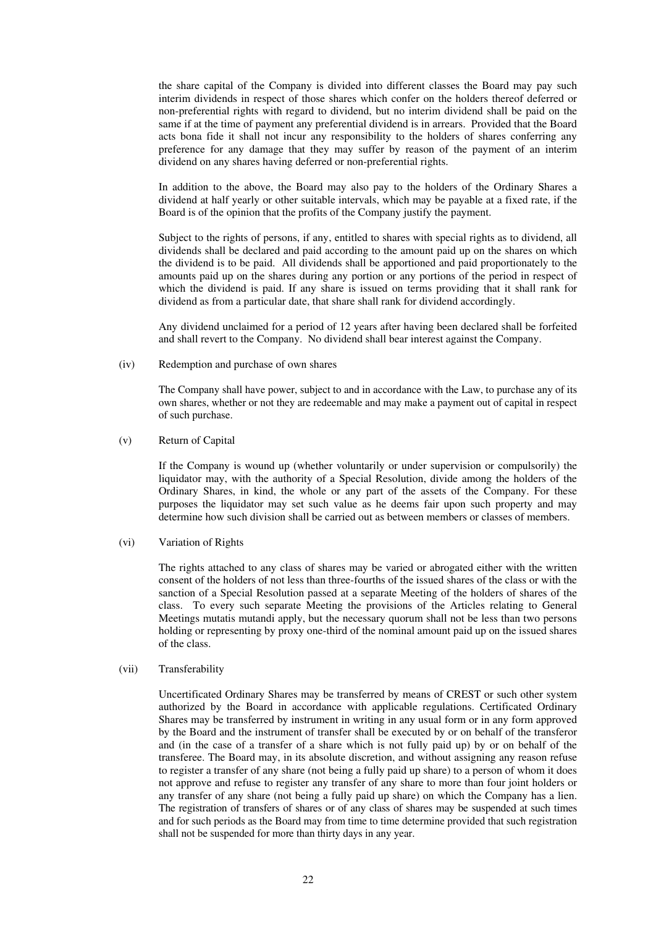the share capital of the Company is divided into different classes the Board may pay such interim dividends in respect of those shares which confer on the holders thereof deferred or non-preferential rights with regard to dividend, but no interim dividend shall be paid on the same if at the time of payment any preferential dividend is in arrears. Provided that the Board acts bona fide it shall not incur any responsibility to the holders of shares conferring any preference for any damage that they may suffer by reason of the payment of an interim dividend on any shares having deferred or non-preferential rights.

In addition to the above, the Board may also pay to the holders of the Ordinary Shares a dividend at half yearly or other suitable intervals, which may be payable at a fixed rate, if the Board is of the opinion that the profits of the Company justify the payment.

Subject to the rights of persons, if any, entitled to shares with special rights as to dividend, all dividends shall be declared and paid according to the amount paid up on the shares on which the dividend is to be paid. All dividends shall be apportioned and paid proportionately to the amounts paid up on the shares during any portion or any portions of the period in respect of which the dividend is paid. If any share is issued on terms providing that it shall rank for dividend as from a particular date, that share shall rank for dividend accordingly.

Any dividend unclaimed for a period of 12 years after having been declared shall be forfeited and shall revert to the Company. No dividend shall bear interest against the Company.

(iv) Redemption and purchase of own shares

The Company shall have power, subject to and in accordance with the Law, to purchase any of its own shares, whether or not they are redeemable and may make a payment out of capital in respect of such purchase.

(v) Return of Capital

If the Company is wound up (whether voluntarily or under supervision or compulsorily) the liquidator may, with the authority of a Special Resolution, divide among the holders of the Ordinary Shares, in kind, the whole or any part of the assets of the Company. For these purposes the liquidator may set such value as he deems fair upon such property and may determine how such division shall be carried out as between members or classes of members.

(vi) Variation of Rights

The rights attached to any class of shares may be varied or abrogated either with the written consent of the holders of not less than three-fourths of the issued shares of the class or with the sanction of a Special Resolution passed at a separate Meeting of the holders of shares of the class. To every such separate Meeting the provisions of the Articles relating to General Meetings mutatis mutandi apply, but the necessary quorum shall not be less than two persons holding or representing by proxy one-third of the nominal amount paid up on the issued shares of the class.

(vii) Transferability

Uncertificated Ordinary Shares may be transferred by means of CREST or such other system authorized by the Board in accordance with applicable regulations. Certificated Ordinary Shares may be transferred by instrument in writing in any usual form or in any form approved by the Board and the instrument of transfer shall be executed by or on behalf of the transferor and (in the case of a transfer of a share which is not fully paid up) by or on behalf of the transferee. The Board may, in its absolute discretion, and without assigning any reason refuse to register a transfer of any share (not being a fully paid up share) to a person of whom it does not approve and refuse to register any transfer of any share to more than four joint holders or any transfer of any share (not being a fully paid up share) on which the Company has a lien. The registration of transfers of shares or of any class of shares may be suspended at such times and for such periods as the Board may from time to time determine provided that such registration shall not be suspended for more than thirty days in any year.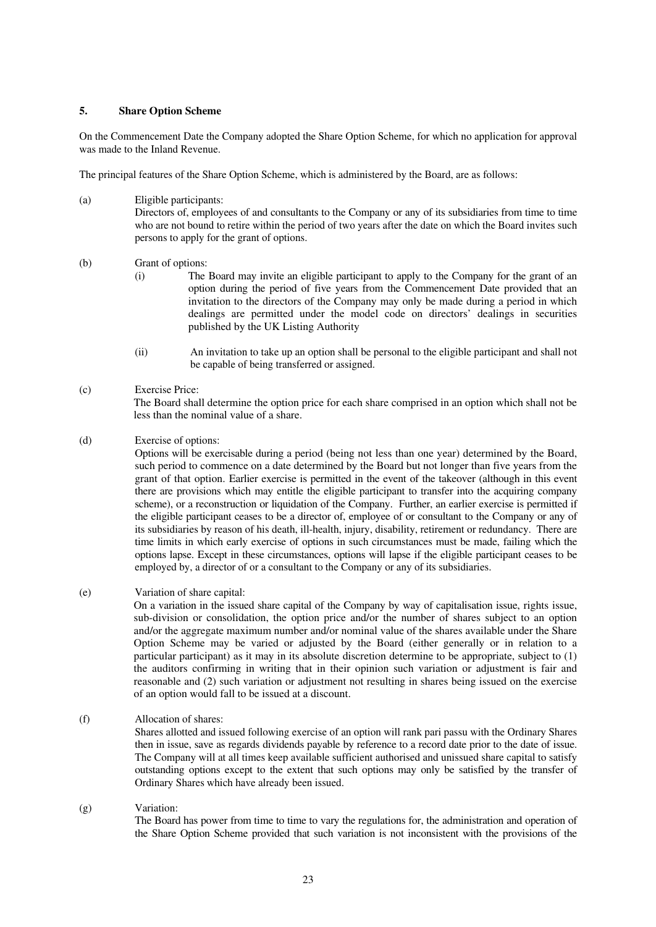## **5. Share Option Scheme**

On the Commencement Date the Company adopted the Share Option Scheme, for which no application for approval was made to the Inland Revenue.

The principal features of the Share Option Scheme, which is administered by the Board, are as follows:

(a) Eligible participants: Directors of, employees of and consultants to the Company or any of its subsidiaries from time to time who are not bound to retire within the period of two years after the date on which the Board invites such persons to apply for the grant of options.

## (b) Grant of options:

- (i) The Board may invite an eligible participant to apply to the Company for the grant of an option during the period of five years from the Commencement Date provided that an invitation to the directors of the Company may only be made during a period in which dealings are permitted under the model code on directors' dealings in securities published by the UK Listing Authority
- (ii) An invitation to take up an option shall be personal to the eligible participant and shall not be capable of being transferred or assigned.

## (c) Exercise Price:

The Board shall determine the option price for each share comprised in an option which shall not be less than the nominal value of a share.

(d) Exercise of options:

Options will be exercisable during a period (being not less than one year) determined by the Board, such period to commence on a date determined by the Board but not longer than five years from the grant of that option. Earlier exercise is permitted in the event of the takeover (although in this event there are provisions which may entitle the eligible participant to transfer into the acquiring company scheme), or a reconstruction or liquidation of the Company. Further, an earlier exercise is permitted if the eligible participant ceases to be a director of, employee of or consultant to the Company or any of its subsidiaries by reason of his death, ill-health, injury, disability, retirement or redundancy. There are time limits in which early exercise of options in such circumstances must be made, failing which the options lapse. Except in these circumstances, options will lapse if the eligible participant ceases to be employed by, a director of or a consultant to the Company or any of its subsidiaries.

(e) Variation of share capital:

On a variation in the issued share capital of the Company by way of capitalisation issue, rights issue, sub-division or consolidation, the option price and/or the number of shares subject to an option and/or the aggregate maximum number and/or nominal value of the shares available under the Share Option Scheme may be varied or adjusted by the Board (either generally or in relation to a particular participant) as it may in its absolute discretion determine to be appropriate, subject to (1) the auditors confirming in writing that in their opinion such variation or adjustment is fair and reasonable and (2) such variation or adjustment not resulting in shares being issued on the exercise of an option would fall to be issued at a discount.

(f) Allocation of shares:

Shares allotted and issued following exercise of an option will rank pari passu with the Ordinary Shares then in issue, save as regards dividends payable by reference to a record date prior to the date of issue. The Company will at all times keep available sufficient authorised and unissued share capital to satisfy outstanding options except to the extent that such options may only be satisfied by the transfer of Ordinary Shares which have already been issued.

## (g) Variation:

The Board has power from time to time to vary the regulations for, the administration and operation of the Share Option Scheme provided that such variation is not inconsistent with the provisions of the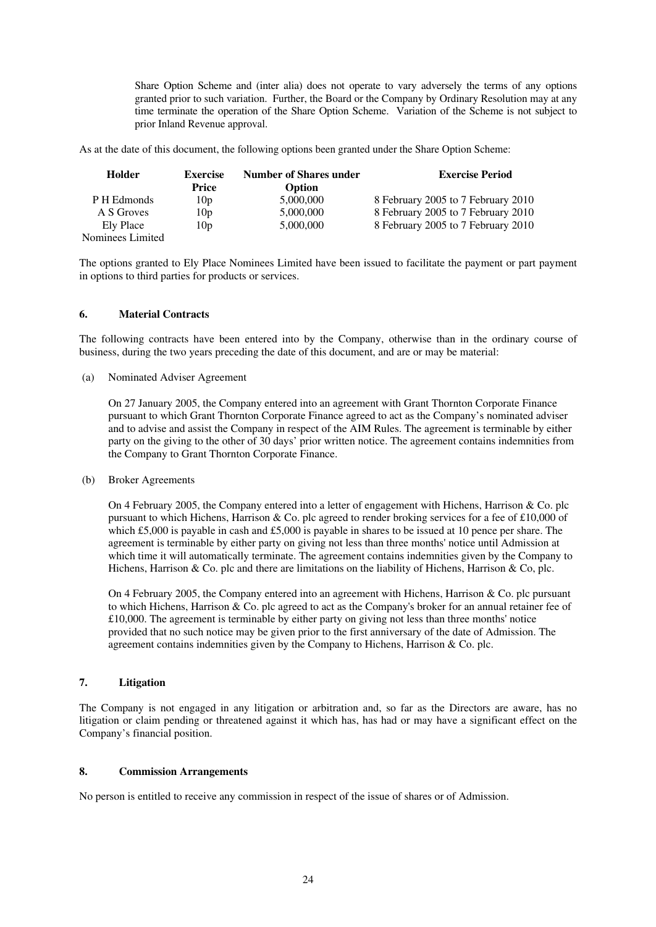Share Option Scheme and (inter alia) does not operate to vary adversely the terms of any options granted prior to such variation. Further, the Board or the Company by Ordinary Resolution may at any time terminate the operation of the Share Option Scheme. Variation of the Scheme is not subject to prior Inland Revenue approval.

As at the date of this document, the following options been granted under the Share Option Scheme:

| Holder           | <b>Exercise</b><br>Price | <b>Number of Shares under</b><br>Option | <b>Exercise Period</b>             |
|------------------|--------------------------|-----------------------------------------|------------------------------------|
| P H Edmonds      | 10 <sub>p</sub>          | 5,000,000                               | 8 February 2005 to 7 February 2010 |
| A S Groves       | 10 <sub>p</sub>          | 5,000,000                               | 8 February 2005 to 7 February 2010 |
| Ely Place        | 10 <sub>p</sub>          | 5,000,000                               | 8 February 2005 to 7 February 2010 |
| Nominees Limited |                          |                                         |                                    |

The options granted to Ely Place Nominees Limited have been issued to facilitate the payment or part payment in options to third parties for products or services.

## **6. Material Contracts**

The following contracts have been entered into by the Company, otherwise than in the ordinary course of business, during the two years preceding the date of this document, and are or may be material:

(a) Nominated Adviser Agreement

On 27 January 2005, the Company entered into an agreement with Grant Thornton Corporate Finance pursuant to which Grant Thornton Corporate Finance agreed to act as the Company's nominated adviser and to advise and assist the Company in respect of the AIM Rules. The agreement is terminable by either party on the giving to the other of 30 days' prior written notice. The agreement contains indemnities from the Company to Grant Thornton Corporate Finance.

(b) Broker Agreements

On 4 February 2005, the Company entered into a letter of engagement with Hichens, Harrison & Co. plc pursuant to which Hichens, Harrison & Co. plc agreed to render broking services for a fee of £10,000 of which £5,000 is payable in cash and £5,000 is payable in shares to be issued at 10 pence per share. The agreement is terminable by either party on giving not less than three months' notice until Admission at which time it will automatically terminate. The agreement contains indemnities given by the Company to Hichens, Harrison & Co. plc and there are limitations on the liability of Hichens, Harrison & Co, plc.

On 4 February 2005, the Company entered into an agreement with Hichens, Harrison & Co. plc pursuant to which Hichens, Harrison & Co. plc agreed to act as the Company's broker for an annual retainer fee of £10,000. The agreement is terminable by either party on giving not less than three months' notice provided that no such notice may be given prior to the first anniversary of the date of Admission. The agreement contains indemnities given by the Company to Hichens, Harrison & Co. plc.

## **7. Litigation**

The Company is not engaged in any litigation or arbitration and, so far as the Directors are aware, has no litigation or claim pending or threatened against it which has, has had or may have a significant effect on the Company's financial position.

# **8. Commission Arrangements**

No person is entitled to receive any commission in respect of the issue of shares or of Admission.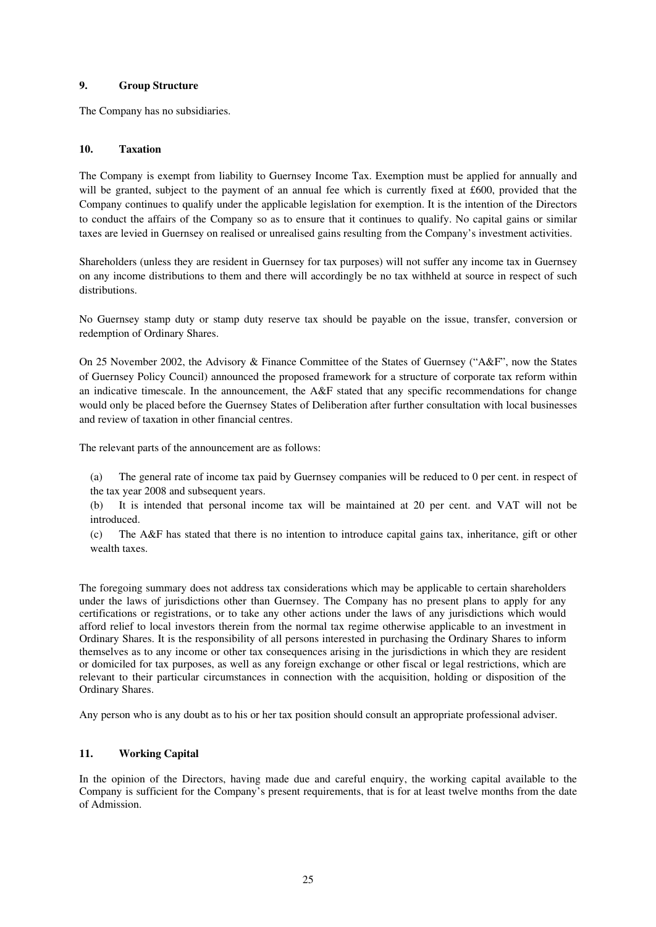## **9. Group Structure**

The Company has no subsidiaries.

## **10. Taxation**

The Company is exempt from liability to Guernsey Income Tax. Exemption must be applied for annually and will be granted, subject to the payment of an annual fee which is currently fixed at £600, provided that the Company continues to qualify under the applicable legislation for exemption. It is the intention of the Directors to conduct the affairs of the Company so as to ensure that it continues to qualify. No capital gains or similar taxes are levied in Guernsey on realised or unrealised gains resulting from the Company's investment activities.

Shareholders (unless they are resident in Guernsey for tax purposes) will not suffer any income tax in Guernsey on any income distributions to them and there will accordingly be no tax withheld at source in respect of such distributions.

No Guernsey stamp duty or stamp duty reserve tax should be payable on the issue, transfer, conversion or redemption of Ordinary Shares.

On 25 November 2002, the Advisory & Finance Committee of the States of Guernsey ("A&F", now the States of Guernsey Policy Council) announced the proposed framework for a structure of corporate tax reform within an indicative timescale. In the announcement, the A&F stated that any specific recommendations for change would only be placed before the Guernsey States of Deliberation after further consultation with local businesses and review of taxation in other financial centres.

The relevant parts of the announcement are as follows:

- (a) The general rate of income tax paid by Guernsey companies will be reduced to 0 per cent. in respect of the tax year 2008 and subsequent years.
- (b) It is intended that personal income tax will be maintained at 20 per cent. and VAT will not be introduced.
- (c) The A&F has stated that there is no intention to introduce capital gains tax, inheritance, gift or other wealth taxes.

The foregoing summary does not address tax considerations which may be applicable to certain shareholders under the laws of jurisdictions other than Guernsey. The Company has no present plans to apply for any certifications or registrations, or to take any other actions under the laws of any jurisdictions which would afford relief to local investors therein from the normal tax regime otherwise applicable to an investment in Ordinary Shares. It is the responsibility of all persons interested in purchasing the Ordinary Shares to inform themselves as to any income or other tax consequences arising in the jurisdictions in which they are resident or domiciled for tax purposes, as well as any foreign exchange or other fiscal or legal restrictions, which are relevant to their particular circumstances in connection with the acquisition, holding or disposition of the Ordinary Shares.

Any person who is any doubt as to his or her tax position should consult an appropriate professional adviser.

# **11. Working Capital**

In the opinion of the Directors, having made due and careful enquiry, the working capital available to the Company is sufficient for the Company's present requirements, that is for at least twelve months from the date of Admission.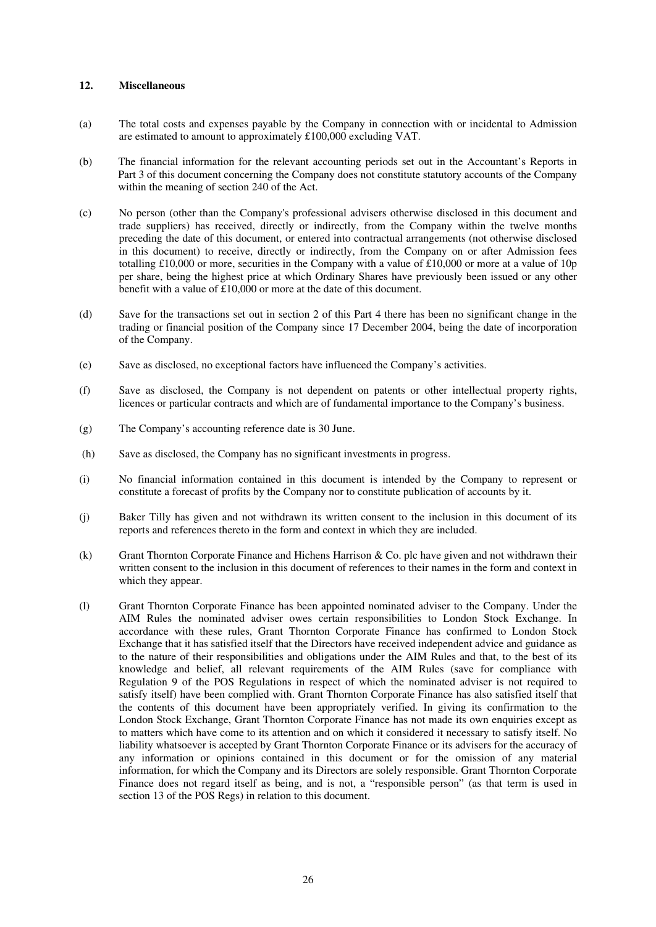## **12. Miscellaneous**

- (a) The total costs and expenses payable by the Company in connection with or incidental to Admission are estimated to amount to approximately £100,000 excluding VAT.
- (b) The financial information for the relevant accounting periods set out in the Accountant's Reports in Part 3 of this document concerning the Company does not constitute statutory accounts of the Company within the meaning of section 240 of the Act.
- (c) No person (other than the Company's professional advisers otherwise disclosed in this document and trade suppliers) has received, directly or indirectly, from the Company within the twelve months preceding the date of this document, or entered into contractual arrangements (not otherwise disclosed in this document) to receive, directly or indirectly, from the Company on or after Admission fees totalling £10,000 or more, securities in the Company with a value of £10,000 or more at a value of 10p per share, being the highest price at which Ordinary Shares have previously been issued or any other benefit with a value of £10,000 or more at the date of this document.
- (d) Save for the transactions set out in section 2 of this Part 4 there has been no significant change in the trading or financial position of the Company since 17 December 2004, being the date of incorporation of the Company.
- (e) Save as disclosed, no exceptional factors have influenced the Company's activities.
- (f) Save as disclosed, the Company is not dependent on patents or other intellectual property rights, licences or particular contracts and which are of fundamental importance to the Company's business.
- (g) The Company's accounting reference date is 30 June.
- (h) Save as disclosed, the Company has no significant investments in progress.
- (i) No financial information contained in this document is intended by the Company to represent or constitute a forecast of profits by the Company nor to constitute publication of accounts by it.
- (j) Baker Tilly has given and not withdrawn its written consent to the inclusion in this document of its reports and references thereto in the form and context in which they are included.
- (k) Grant Thornton Corporate Finance and Hichens Harrison & Co. plc have given and not withdrawn their written consent to the inclusion in this document of references to their names in the form and context in which they appear.
- (l) Grant Thornton Corporate Finance has been appointed nominated adviser to the Company. Under the AIM Rules the nominated adviser owes certain responsibilities to London Stock Exchange. In accordance with these rules, Grant Thornton Corporate Finance has confirmed to London Stock Exchange that it has satisfied itself that the Directors have received independent advice and guidance as to the nature of their responsibilities and obligations under the AIM Rules and that, to the best of its knowledge and belief, all relevant requirements of the AIM Rules (save for compliance with Regulation 9 of the POS Regulations in respect of which the nominated adviser is not required to satisfy itself) have been complied with. Grant Thornton Corporate Finance has also satisfied itself that the contents of this document have been appropriately verified. In giving its confirmation to the London Stock Exchange, Grant Thornton Corporate Finance has not made its own enquiries except as to matters which have come to its attention and on which it considered it necessary to satisfy itself. No liability whatsoever is accepted by Grant Thornton Corporate Finance or its advisers for the accuracy of any information or opinions contained in this document or for the omission of any material information, for which the Company and its Directors are solely responsible. Grant Thornton Corporate Finance does not regard itself as being, and is not, a "responsible person" (as that term is used in section 13 of the POS Regs) in relation to this document.